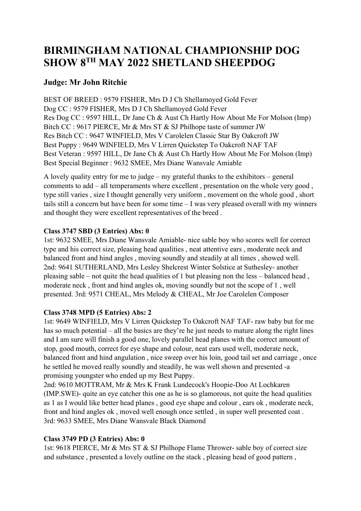# BIRMINGHAM NATIONAL CHAMPIONSHIP DOG SHOW 8TH MAY 2022 SHETLAND SHEEPDOG

# Judge: Mr John Ritchie

BEST OF BREED : 9579 FISHER, Mrs D J Ch Shellamoyed Gold Fever Dog CC : 9579 FISHER, Mrs D J Ch Shellamoyed Gold Fever Res Dog CC : 9597 HILL, Dr Jane Ch & Aust Ch Hartly How About Me For Molson (Imp) Bitch CC : 9617 PIERCE, Mr & Mrs ST & SJ Philhope taste of summer JW Res Bitch CC : 9647 WINFIELD, Mrs V Carolelen Classic Star By Oakcroft JW Best Puppy : 9649 WINFIELD, Mrs V Lirren Quickstep To Oakcroft NAF TAF Best Veteran : 9597 HILL, Dr Jane Ch & Aust Ch Hartly How About Me For Molson (Imp) Best Special Beginner : 9632 SMEE, Mrs Diane Wansvale Amiable

A lovely quality entry for me to judge – my grateful thanks to the exhibitors – general comments to add – all temperaments where excellent , presentation on the whole very good , type still varies , size I thought generally very uniform , movement on the whole good , short tails still a concern but have been for some time – I was very pleased overall with my winners and thought they were excellent representatives of the breed .

# Class 3747 SBD (3 Entries) Abs: 0

1st: 9632 SMEE, Mrs Diane Wansvale Amiable- nice sable boy who scores well for correct type and his correct size, pleasing head qualities , neat attentive ears , moderate neck and balanced front and hind angles , moving soundly and steadily at all times , showed well. 2nd: 9641 SUTHERLAND, Mrs Lesley Shelcrest Winter Solstice at Suthesley- another pleasing sable – not quite the head qualities of 1 but pleasing non the less – balanced head , moderate neck , front and hind angles ok, moving soundly but not the scope of 1 , well presented. 3rd: 9571 CHEAL, Mrs Melody & CHEAL, Mr Joe Carolelen Composer

#### Class 3748 MPD (5 Entries) Abs: 2

1st: 9649 WINFIELD, Mrs V Lirren Quickstep To Oakcroft NAF TAF- raw baby but for me has so much potential – all the basics are they're he just needs to mature along the right lines and I am sure will finish a good one, lovely parallel head planes with the correct amount of stop, good mouth, correct for eye shape and colour, neat ears used well, moderate neck, balanced front and hind angulation , nice sweep over his loin, good tail set and carriage , once he settled he moved really soundly and steadily, he was well shown and presented -a promising youngster who ended up my Best Puppy.

2nd: 9610 MOTTRAM, Mr & Mrs K Frank Lundecock's Hoopie-Doo At Lochkaren (IMP.SWE)- quite an eye catcher this one as he is so glamorous, not quite the head qualities as 1 as I would like better head planes , good eye shape and colour , ears ok , moderate neck, front and hind angles ok , moved well enough once settled , in super well presented coat . 3rd: 9633 SMEE, Mrs Diane Wansvale Black Diamond

# Class 3749 PD (3 Entries) Abs: 0

1st: 9618 PIERCE, Mr & Mrs ST & SJ Philhope Flame Thrower- sable boy of correct size and substance , presented a lovely outline on the stack , pleasing head of good pattern ,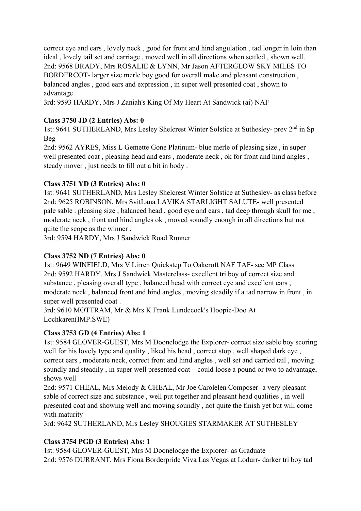correct eye and ears , lovely neck , good for front and hind angulation , tad longer in loin than ideal , lovely tail set and carriage , moved well in all directions when settled , shown well. 2nd: 9568 BRADY, Mrs ROSALIE & LYNN, Mr Jason AFTERGLOW SKY MILES TO BORDERCOT- larger size merle boy good for overall make and pleasant construction , balanced angles , good ears and expression , in super well presented coat , shown to advantage

3rd: 9593 HARDY, Mrs J Zaniah's King Of My Heart At Sandwick (ai) NAF

# Class 3750 JD (2 Entries) Abs: 0

1st: 9641 SUTHERLAND, Mrs Lesley Shelcrest Winter Solstice at Suthesley- prev 2nd in Sp Beg

2nd: 9562 AYRES, Miss L Gemette Gone Platinum- blue merle of pleasing size , in super well presented coat , pleasing head and ears , moderate neck , ok for front and hind angles , steady mover , just needs to fill out a bit in body .

#### Class 3751 YD (3 Entries) Abs: 0

1st: 9641 SUTHERLAND, Mrs Lesley Shelcrest Winter Solstice at Suthesley- as class before 2nd: 9625 ROBINSON, Mrs SvitLana LAVIKA STARLIGHT SALUTE- well presented pale sable . pleasing size , balanced head , good eye and ears , tad deep through skull for me , moderate neck , front and hind angles ok , moved soundly enough in all directions but not quite the scope as the winner .

3rd: 9594 HARDY, Mrs J Sandwick Road Runner

#### Class 3752 ND (7 Entries) Abs: 0

1st: 9649 WINFIELD, Mrs V Lirren Quickstep To Oakcroft NAF TAF- see MP Class 2nd: 9592 HARDY, Mrs J Sandwick Masterclass- excellent tri boy of correct size and substance , pleasing overall type , balanced head with correct eye and excellent ears , moderate neck , balanced front and hind angles , moving steadily if a tad narrow in front , in super well presented coat .

3rd: 9610 MOTTRAM, Mr & Mrs K Frank Lundecock's Hoopie-Doo At Lochkaren(IMP.SWE)

#### Class 3753 GD (4 Entries) Abs: 1

1st: 9584 GLOVER-GUEST, Mrs M Doonelodge the Explorer- correct size sable boy scoring well for his lovely type and quality , liked his head , correct stop , well shaped dark eye , correct ears , moderate neck, correct front and hind angles , well set and carried tail , moving soundly and steadily , in super well presented coat – could loose a pound or two to advantage, shows well

2nd: 9571 CHEAL, Mrs Melody & CHEAL, Mr Joe Carolelen Composer- a very pleasant sable of correct size and substance , well put together and pleasant head qualities , in well presented coat and showing well and moving soundly , not quite the finish yet but will come with maturity

3rd: 9642 SUTHERLAND, Mrs Lesley SHOUGIES STARMAKER AT SUTHESLEY

# Class 3754 PGD (3 Entries) Abs: 1

1st: 9584 GLOVER-GUEST, Mrs M Doonelodge the Explorer- as Graduate 2nd: 9576 DURRANT, Mrs Fiona Borderpride Viva Las Vegas at Lodurr- darker tri boy tad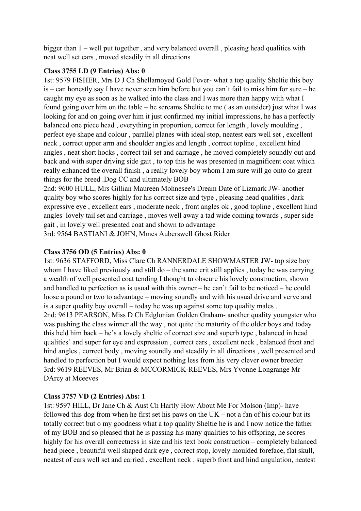bigger than 1 – well put together , and very balanced overall , pleasing head qualities with neat well set ears , moved steadily in all directions

#### Class 3755 LD (9 Entries) Abs: 0

1st: 9579 FISHER, Mrs D J Ch Shellamoyed Gold Fever- what a top quality Sheltie this boy is – can honestly say I have never seen him before but you can't fail to miss him for sure – he caught my eye as soon as he walked into the class and I was more than happy with what I found going over him on the table – he screams Sheltie to me ( as an outsider) just what I was looking for and on going over him it just confirmed my initial impressions, he has a perfectly balanced one piece head , everything in proportion, correct for length , lovely moulding , perfect eye shape and colour , parallel planes with ideal stop, neatest ears well set , excellent neck , correct upper arm and shoulder angles and length , correct topline , excellent hind angles , neat short hocks , correct tail set and carriage , he moved completely soundly out and back and with super driving side gait , to top this he was presented in magnificent coat which really enhanced the overall finish , a really lovely boy whom I am sure will go onto do great things for the breed .Dog CC and ultimately BOB

2nd: 9600 HULL, Mrs Gillian Maureen Mohnesee's Dream Date of Lizmark JW- another quality boy who scores highly for his correct size and type , pleasing head qualities , dark expressive eye , excellent ears , moderate neck , front angles ok , good topline , excellent hind angles lovely tail set and carriage , moves well away a tad wide coming towards , super side gait , in lovely well presented coat and shown to advantage

3rd: 9564 BASTIANI & JOHN, Mmes Auberswell Ghost Rider

#### Class 3756 OD (5 Entries) Abs: 0

1st: 9636 STAFFORD, Miss Clare Ch RANNERDALE SHOWMASTER JW- top size boy whom I have liked previously and still do – the same crit still applies, today he was carrying a wealth of well presented coat tending I thought to obscure his lovely construction, shown and handled to perfection as is usual with this owner – he can't fail to be noticed – he could loose a pound or two to advantage – moving soundly and with his usual drive and verve and is a super quality boy overall – today he was up against some top quality males . 2nd: 9613 PEARSON, Miss D Ch Edglonian Golden Graham- another quality youngster who was pushing the class winner all the way , not quite the maturity of the older boys and today this held him back – he's a lovely sheltie of correct size and superb type , balanced in head qualities' and super for eye and expression , correct ears , excellent neck , balanced front and hind angles , correct body , moving soundly and steadily in all directions , well presented and handled to perfection but I would expect nothing less from his very clever owner breeder 3rd: 9619 REEVES, Mr Brian & MCCORMICK-REEVES, Mrs Yvonne Longrange Mr DArcy at Mceeves

# Class 3757 VD (2 Entries) Abs: 1

1st: 9597 HILL, Dr Jane Ch & Aust Ch Hartly How About Me For Molson (Imp)- have followed this dog from when he first set his paws on the  $UK - not$  a fan of his colour but its totally correct but o my goodness what a top quality Sheltie he is and I now notice the father of my BOB and so pleased that he is passing his many qualities to his offspring, he scores highly for his overall correctness in size and his text book construction – completely balanced head piece , beautiful well shaped dark eye , correct stop, lovely moulded foreface, flat skull, neatest of ears well set and carried , excellent neck . superb front and hind angulation, neatest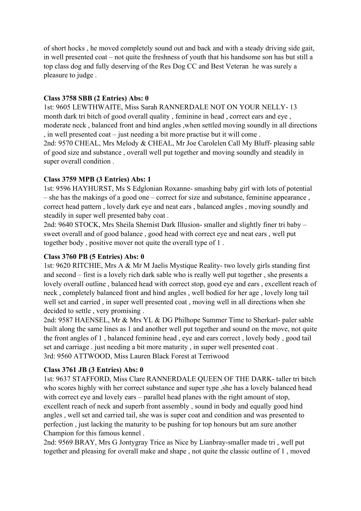of short hocks , he moved completely sound out and back and with a steady driving side gait, in well presented coat – not quite the freshness of youth that his handsome son has but still a top class dog and fully deserving of the Res Dog CC and Best Veteran he was surely a pleasure to judge .

#### Class 3758 SBB (2 Entries) Abs: 0

1st: 9605 LEWTHWAITE, Miss Sarah RANNERDALE NOT ON YOUR NELLY- 13 month dark tri bitch of good overall quality , feminine in head , correct ears and eye , moderate neck , balanced front and hind angles ,when settled moving soundly in all directions , in well presented coat – just needing a bit more practise but it will come .

2nd: 9570 CHEAL, Mrs Melody & CHEAL, Mr Joe Carolelen Call My Bluff- pleasing sable of good size and substance , overall well put together and moving soundly and steadily in super overall condition .

#### Class 3759 MPB (3 Entries) Abs: 1

1st: 9596 HAYHURST, Ms S Edglonian Roxanne- smashing baby girl with lots of potential – she has the makings of a good one – correct for size and substance, feminine appearance , correct head pattern , lovely dark eye and neat ears , balanced angles , moving soundly and steadily in super well presented baby coat .

2nd: 9640 STOCK, Mrs Sheila Shemist Dark Illusion- smaller and slightly finer tri baby – sweet overall and of good balance , good head with correct eye and neat ears , well put together body , positive mover not quite the overall type of 1 .

#### Class 3760 PB (5 Entries) Abs: 0

1st: 9620 RITCHIE, Mrs A & Mr M Jaelis Mystique Reality- two lovely girls standing first and second – first is a lovely rich dark sable who is really well put together , she presents a lovely overall outline , balanced head with correct stop, good eye and ears , excellent reach of neck , completely balanced front and hind angles , well bodied for her age , lovely long tail well set and carried , in super well presented coat , moving well in all directions when she decided to settle , very promising .

2nd: 9587 HAENSEL, Mr & Mrs YL & DG Philhope Summer Time to Sherkarl- paler sable built along the same lines as 1 and another well put together and sound on the move, not quite the front angles of 1 , balanced feminine head , eye and ears correct , lovely body , good tail set and carriage . just needing a bit more maturity , in super well presented coat . 3rd: 9560 ATTWOOD, Miss Lauren Black Forest at Terriwood

# Class 3761 JB (3 Entries) Abs: 0

1st: 9637 STAFFORD, Miss Clare RANNERDALE QUEEN OF THE DARK- taller tri bitch who scores highly with her correct substance and super type ,she has a lovely balanced head with correct eye and lovely ears – parallel head planes with the right amount of stop, excellent reach of neck and superb front assembly , sound in body and equally good hind angles , well set and carried tail, she was is super coat and condition and was presented to perfection , just lacking the maturity to be pushing for top honours but am sure another Champion for this famous kennel .

2nd: 9569 BRAY, Mrs G Jontygray Trice as Nice by Lianbray-smaller made tri , well put together and pleasing for overall make and shape , not quite the classic outline of 1 , moved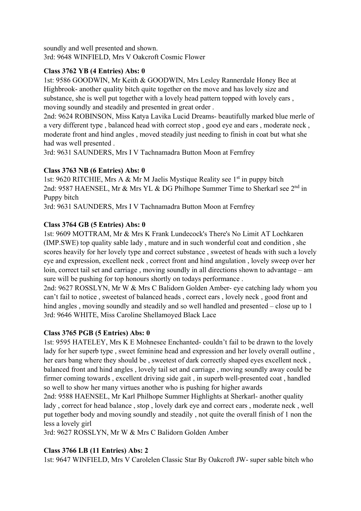soundly and well presented and shown. 3rd: 9648 WINFIELD, Mrs V Oakcroft Cosmic Flower

# Class 3762 YB (4 Entries) Abs: 0

1st: 9586 GOODWIN, Mr Keith & GOODWIN, Mrs Lesley Rannerdale Honey Bee at Highbrook- another quality bitch quite together on the move and has lovely size and substance, she is well put together with a lovely head pattern topped with lovely ears , moving soundly and steadily and presented in great order .

2nd: 9624 ROBINSON, Miss Katya Lavika Lucid Dreams- beautifully marked blue merle of a very different type , balanced head with correct stop , good eye and ears , moderate neck , moderate front and hind angles , moved steadily just needing to finish in coat but what she had was well presented .

3rd: 9631 SAUNDERS, Mrs I V Tachnamadra Button Moon at Fernfrey

# Class 3763 NB (6 Entries) Abs: 0

1st: 9620 RITCHIE, Mrs A & Mr M Jaelis Mystique Reality see 1<sup>st</sup> in puppy bitch 2nd: 9587 HAENSEL, Mr & Mrs YL & DG Philhope Summer Time to Sherkarl see 2<sup>nd</sup> in Puppy bitch

3rd: 9631 SAUNDERS, Mrs I V Tachnamadra Button Moon at Fernfrey

# Class 3764 GB (5 Entries) Abs: 0

1st: 9609 MOTTRAM, Mr & Mrs K Frank Lundecock's There's No Limit AT Lochkaren (IMP.SWE) top quality sable lady , mature and in such wonderful coat and condition , she scores heavily for her lovely type and correct substance , sweetest of heads with such a lovely eye and expression, excellent neck , correct front and hind angulation , lovely sweep over her loin, correct tail set and carriage , moving soundly in all directions shown to advantage – am sure will be pushing for top honours shortly on todays performance .

2nd: 9627 ROSSLYN, Mr W & Mrs C Balidorn Golden Amber- eye catching lady whom you can't fail to notice , sweetest of balanced heads , correct ears , lovely neck , good front and hind angles, moving soundly and steadily and so well handled and presented – close up to 1 3rd: 9646 WHITE, Miss Caroline Shellamoyed Black Lace

# Class 3765 PGB (5 Entries) Abs: 0

1st: 9595 HATELEY, Mrs K E Mohnesee Enchanted- couldn't fail to be drawn to the lovely lady for her superb type, sweet feminine head and expression and her lovely overall outline, her ears bang where they should be , sweetest of dark correctly shaped eyes excellent neck , balanced front and hind angles , lovely tail set and carriage , moving soundly away could be firmer coming towards , excellent driving side gait , in superb well-presented coat , handled so well to show her many virtues another who is pushing for higher awards

2nd: 9588 HAENSEL, Mr Karl Philhope Summer Highlights at Sherkarl- another quality lady , correct for head balance , stop , lovely dark eye and correct ears , moderate neck , well put together body and moving soundly and steadily , not quite the overall finish of 1 non the less a lovely girl

3rd: 9627 ROSSLYN, Mr W & Mrs C Balidorn Golden Amber

# Class 3766 LB (11 Entries) Abs: 2

1st: 9647 WINFIELD, Mrs V Carolelen Classic Star By Oakcroft JW- super sable bitch who